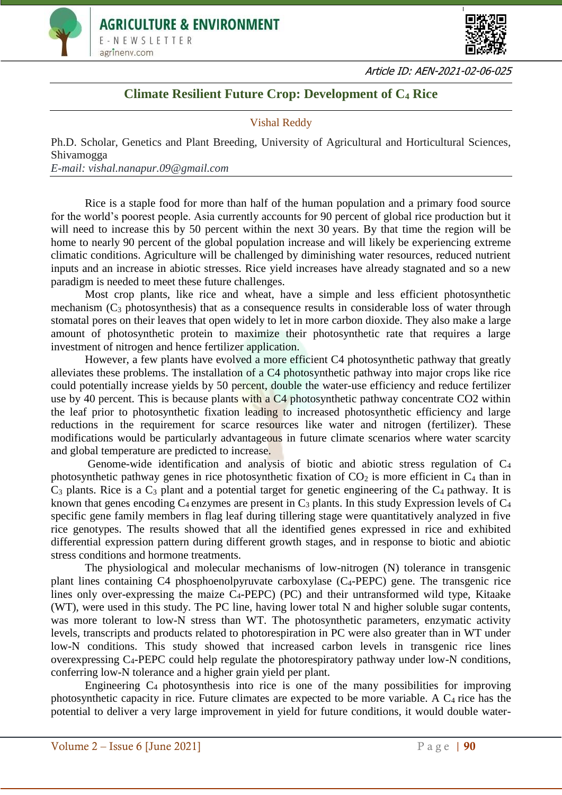



Article ID: AEN-2021-02-06-025

## **Climate Resilient Future Crop: Development of C<sup>4</sup> Rice**

## Vishal Reddy

Ph.D. Scholar, Genetics and Plant Breeding, University of Agricultural and Horticultural Sciences, Shivamogga *E-mail: vishal.nanapur.09@gmail.com*

Rice is a staple food for more than half of the human population and a primary food source for the world's poorest people. Asia currently accounts for 90 percent of global rice production but it will need to increase this by 50 percent within the next 30 years. By that time the region will be home to nearly 90 percent of the global population increase and will likely be experiencing extreme climatic conditions. Agriculture will be challenged by diminishing water resources, reduced nutrient inputs and an increase in abiotic stresses. Rice yield increases have already stagnated and so a new paradigm is needed to meet these future challenges.

Most crop plants, like rice and wheat, have a simple and less efficient photosynthetic mechanism  $(C_3$  photosynthesis) that as a consequence results in considerable loss of water through stomatal pores on their leaves that open widely to let in more carbon dioxide. They also make a large amount of photosynthetic protein to maximize their photosynthetic rate that requires a large investment of nitrogen and hence fertilizer application.

However, a few plants have evolved a more efficient C4 photosynthetic pathway that greatly alleviates these problems. The installation of a C4 photosynthetic pathway into major crops like rice could potentially increase yields by 50 percent, double the water-use efficiency and reduce fertilizer use by 40 percent. This is because plants with a C4 photosynthetic pathway concentrate CO2 within the leaf prior to photosynthetic fixation leading to increased photosynthetic efficiency and large reductions in the requirement for scarce resources like water and nitrogen (fertilizer). These modifications would be particularly advantageous in future climate scenarios where water scarcity and global temperature are predicted to increase.

Genome-wide identification and analysis of biotic and abiotic stress regulation of C<sup>4</sup> photosynthetic pathway genes in rice photosynthetic fixation of  $CO<sub>2</sub>$  is more efficient in  $C<sub>4</sub>$  than in  $C_3$  plants. Rice is a  $C_3$  plant and a potential target for genetic engineering of the  $C_4$  pathway. It is known that genes encoding  $C_4$  enzymes are present in  $C_3$  plants. In this study Expression levels of  $C_4$ specific gene family members in flag leaf during tillering stage were quantitatively analyzed in five rice genotypes. The results showed that all the identified genes expressed in rice and exhibited differential expression pattern during different growth stages, and in response to biotic and abiotic stress conditions and hormone treatments.

The physiological and molecular mechanisms of low-nitrogen (N) tolerance in transgenic plant lines containing C4 phosphoenolpyruvate carboxylase  $(C_4$ -PEPC) gene. The transgenic rice lines only over-expressing the maize  $C_4$ -PEPC) (PC) and their untransformed wild type, Kitaake (WT), were used in this study. The PC line, having lower total N and higher soluble sugar contents, was more tolerant to low-N stress than WT. The photosynthetic parameters, enzymatic activity levels, transcripts and products related to photorespiration in PC were also greater than in WT under low-N conditions. This study showed that increased carbon levels in transgenic rice lines overexpressing C4-PEPC could help regulate the photorespiratory pathway under low-N conditions, conferring low-N tolerance and a higher grain yield per plant.

Engineering  $C_4$  photosynthesis into rice is one of the many possibilities for improving photosynthetic capacity in rice. Future climates are expected to be more variable. A C4 rice has the potential to deliver a very large improvement in yield for future conditions, it would double water-